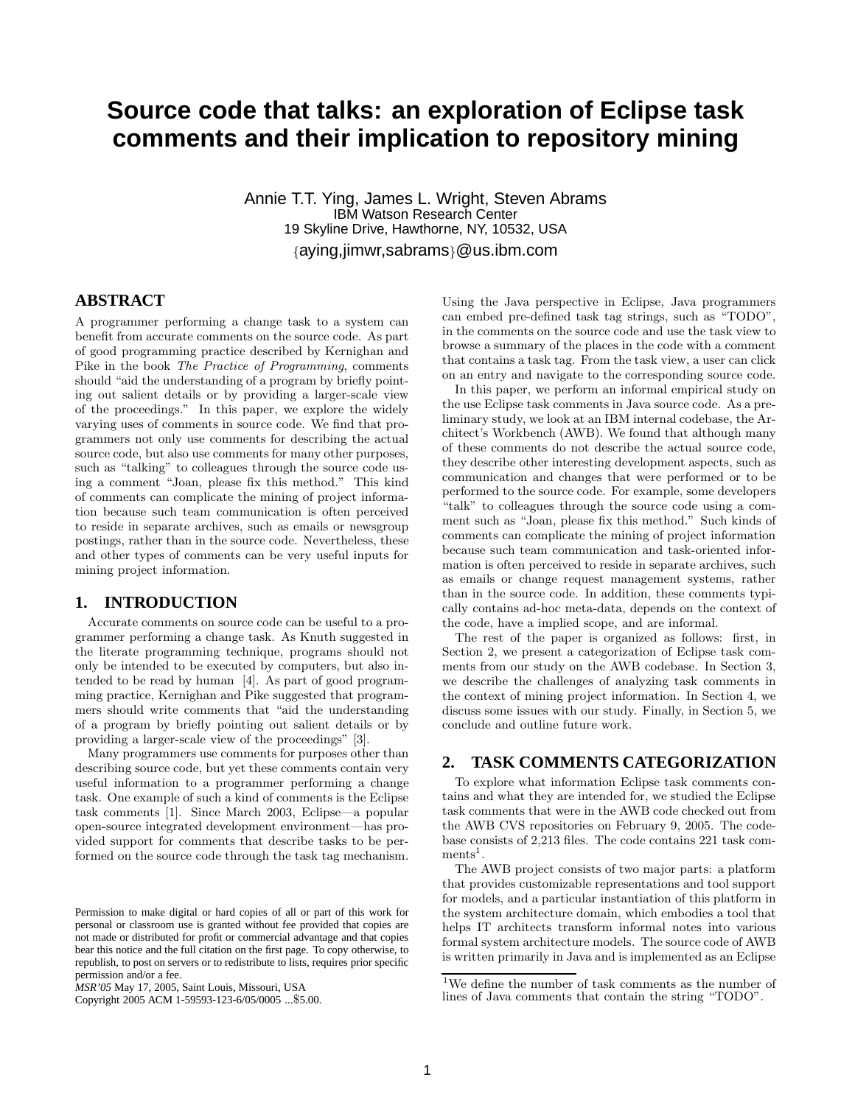# **Source code that talks: an exploration of Eclipse task comments and their implication to repository mining**

Annie T.T. Ying, James L. Wright, Steven Abrams IBM Watson Research Center 19 Skyline Drive, Hawthorne, NY, 10532, USA {aying,jimwr,sabrams}@us.ibm.com

# **ABSTRACT**

A programmer performing a change task to a system can benefit from accurate comments on the source code. As part of good programming practice described by Kernighan and Pike in the book The Practice of Programming, comments should "aid the understanding of a program by briefly pointing out salient details or by providing a larger-scale view of the proceedings." In this paper, we explore the widely varying uses of comments in source code. We find that programmers not only use comments for describing the actual source code, but also use comments for many other purposes, such as "talking" to colleagues through the source code using a comment "Joan, please fix this method." This kind of comments can complicate the mining of project information because such team communication is often perceived to reside in separate archives, such as emails or newsgroup postings, rather than in the source code. Nevertheless, these and other types of comments can be very useful inputs for mining project information.

# **1. INTRODUCTION**

Accurate comments on source code can be useful to a programmer performing a change task. As Knuth suggested in the literate programming technique, programs should not only be intended to be executed by computers, but also intended to be read by human [4]. As part of good programming practice, Kernighan and Pike suggested that programmers should write comments that "aid the understanding of a program by briefly pointing out salient details or by providing a larger-scale view of the proceedings" [3].

Many programmers use comments for purposes other than describing source code, but yet these comments contain very useful information to a programmer performing a change task. One example of such a kind of comments is the Eclipse task comments [1]. Since March 2003, Eclipse—a popular open-source integrated development environment—has provided support for comments that describe tasks to be performed on the source code through the task tag mechanism.

Copyright 2005 ACM 1-59593-123-6/05/0005 ...\$5.00.

Using the Java perspective in Eclipse, Java programmers can embed pre-defined task tag strings, such as "TODO", in the comments on the source code and use the task view to browse a summary of the places in the code with a comment that contains a task tag. From the task view, a user can click on an entry and navigate to the corresponding source code.

In this paper, we perform an informal empirical study on the use Eclipse task comments in Java source code. As a preliminary study, we look at an IBM internal codebase, the Architect's Workbench (AWB). We found that although many of these comments do not describe the actual source code, they describe other interesting development aspects, such as communication and changes that were performed or to be performed to the source code. For example, some developers "talk" to colleagues through the source code using a comment such as "Joan, please fix this method." Such kinds of comments can complicate the mining of project information because such team communication and task-oriented information is often perceived to reside in separate archives, such as emails or change request management systems, rather than in the source code. In addition, these comments typically contains ad-hoc meta-data, depends on the context of the code, have a implied scope, and are informal.

The rest of the paper is organized as follows: first, in Section 2, we present a categorization of Eclipse task comments from our study on the AWB codebase. In Section 3, we describe the challenges of analyzing task comments in the context of mining project information. In Section 4, we discuss some issues with our study. Finally, in Section 5, we conclude and outline future work.

# **2. TASK COMMENTS CATEGORIZATION**

To explore what information Eclipse task comments contains and what they are intended for, we studied the Eclipse task comments that were in the AWB code checked out from the AWB CVS repositories on February 9, 2005. The codebase consists of 2,213 files. The code contains 221 task com $ments<sup>1</sup>$ .

The AWB project consists of two major parts: a platform that provides customizable representations and tool support for models, and a particular instantiation of this platform in the system architecture domain, which embodies a tool that helps IT architects transform informal notes into various formal system architecture models. The source code of AWB is written primarily in Java and is implemented as an Eclipse

Permission to make digital or hard copies of all or part of this work for personal or classroom use is granted without fee provided that copies are not made or distributed for profit or commercial advantage and that copies bear this notice and the full citation on the first page. To copy otherwise, to republish, to post on servers or to redistribute to lists, requires prior specific permission and/or a fee.

*MSR'05* May 17, 2005, Saint Louis, Missouri, USA

 $^{1}\mathrm{We}$  define the number of task comments as the number of lines of Java comments that contain the string "TODO".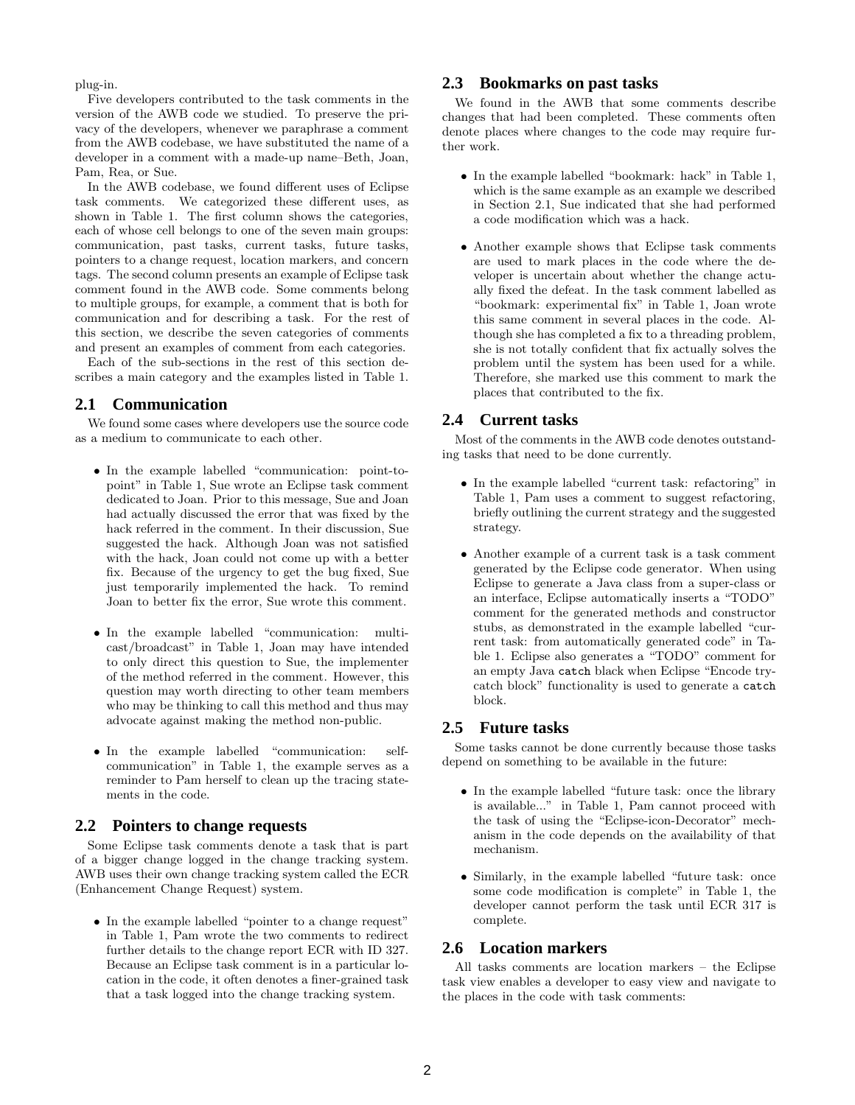plug-in.

Five developers contributed to the task comments in the version of the AWB code we studied. To preserve the privacy of the developers, whenever we paraphrase a comment from the AWB codebase, we have substituted the name of a developer in a comment with a made-up name–Beth, Joan, Pam, Rea, or Sue.

In the AWB codebase, we found different uses of Eclipse task comments. We categorized these different uses, as shown in Table 1. The first column shows the categories, each of whose cell belongs to one of the seven main groups: communication, past tasks, current tasks, future tasks, pointers to a change request, location markers, and concern tags. The second column presents an example of Eclipse task comment found in the AWB code. Some comments belong to multiple groups, for example, a comment that is both for communication and for describing a task. For the rest of this section, we describe the seven categories of comments and present an examples of comment from each categories.

Each of the sub-sections in the rest of this section describes a main category and the examples listed in Table 1.

# **2.1 Communication**

We found some cases where developers use the source code as a medium to communicate to each other.

- In the example labelled "communication: point-topoint" in Table 1, Sue wrote an Eclipse task comment dedicated to Joan. Prior to this message, Sue and Joan had actually discussed the error that was fixed by the hack referred in the comment. In their discussion, Sue suggested the hack. Although Joan was not satisfied with the hack, Joan could not come up with a better fix. Because of the urgency to get the bug fixed, Sue just temporarily implemented the hack. To remind Joan to better fix the error, Sue wrote this comment.
- In the example labelled "communication: multicast/broadcast" in Table 1, Joan may have intended to only direct this question to Sue, the implementer of the method referred in the comment. However, this question may worth directing to other team members who may be thinking to call this method and thus may advocate against making the method non-public.
- In the example labelled "communication: selfcommunication" in Table 1, the example serves as a reminder to Pam herself to clean up the tracing statements in the code.

# **2.2 Pointers to change requests**

Some Eclipse task comments denote a task that is part of a bigger change logged in the change tracking system. AWB uses their own change tracking system called the ECR (Enhancement Change Request) system.

• In the example labelled "pointer to a change request" in Table 1, Pam wrote the two comments to redirect further details to the change report ECR with ID 327. Because an Eclipse task comment is in a particular location in the code, it often denotes a finer-grained task that a task logged into the change tracking system.

# **2.3 Bookmarks on past tasks**

We found in the AWB that some comments describe changes that had been completed. These comments often denote places where changes to the code may require further work.

- In the example labelled "bookmark: hack" in Table 1, which is the same example as an example we described in Section 2.1, Sue indicated that she had performed a code modification which was a hack.
- Another example shows that Eclipse task comments are used to mark places in the code where the developer is uncertain about whether the change actually fixed the defeat. In the task comment labelled as "bookmark: experimental fix" in Table 1, Joan wrote this same comment in several places in the code. Although she has completed a fix to a threading problem, she is not totally confident that fix actually solves the problem until the system has been used for a while. Therefore, she marked use this comment to mark the places that contributed to the fix.

# **2.4 Current tasks**

Most of the comments in the AWB code denotes outstanding tasks that need to be done currently.

- In the example labelled "current task: refactoring" in Table 1, Pam uses a comment to suggest refactoring, briefly outlining the current strategy and the suggested strategy.
- Another example of a current task is a task comment generated by the Eclipse code generator. When using Eclipse to generate a Java class from a super-class or an interface, Eclipse automatically inserts a "TODO" comment for the generated methods and constructor stubs, as demonstrated in the example labelled "current task: from automatically generated code" in Table 1. Eclipse also generates a "TODO" comment for an empty Java catch black when Eclipse "Encode trycatch block" functionality is used to generate a catch block.

# **2.5 Future tasks**

Some tasks cannot be done currently because those tasks depend on something to be available in the future:

- In the example labelled "future task: once the library is available..." in Table 1, Pam cannot proceed with the task of using the "Eclipse-icon-Decorator" mechanism in the code depends on the availability of that mechanism.
- Similarly, in the example labelled "future task: once some code modification is complete" in Table 1, the developer cannot perform the task until ECR 317 is complete.

# **2.6 Location markers**

All tasks comments are location markers – the Eclipse task view enables a developer to easy view and navigate to the places in the code with task comments: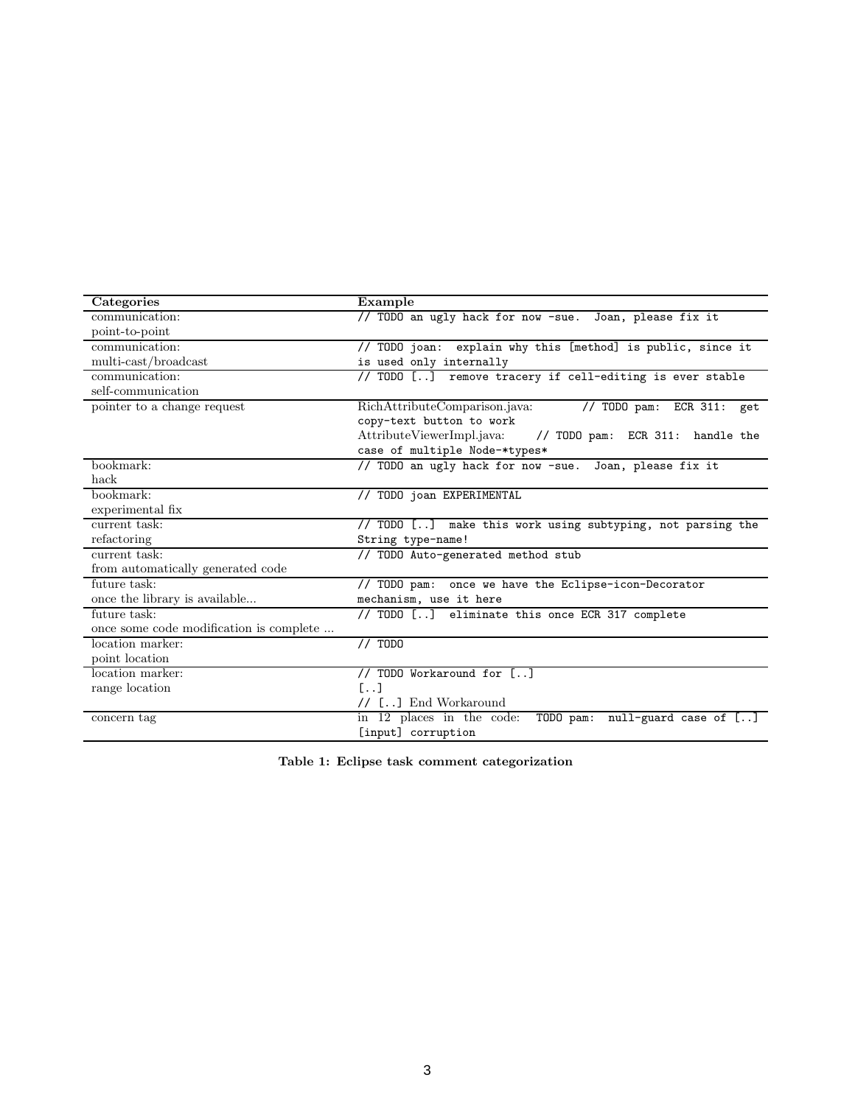| Categories                              | Example                                                                   |
|-----------------------------------------|---------------------------------------------------------------------------|
| communication:                          | // TODO an ugly hack for now -sue. Joan, please fix it                    |
| point-to-point                          |                                                                           |
| communication:                          | // TODO joan: explain why this [method] is public, since it               |
| multi-cast/broadcast                    | is used only internally                                                   |
| communication:                          | // TODO [] remove tracery if cell-editing is ever stable                  |
| self-communication                      |                                                                           |
| pointer to a change request             | RichAttributeComparison.java:<br>TODO pam: ECR 311: get<br>$\prime\prime$ |
|                                         | copy-text button to work                                                  |
|                                         | AttributeViewerImpl.java:<br>// TODO pam: ECR 311: handle the             |
|                                         | case of multiple Node-*types*                                             |
| bookmark:                               | // TODO an ugly hack for now -sue. Joan, please fix it                    |
| hack                                    |                                                                           |
| bookmark:                               | // TODO joan EXPERIMENTAL                                                 |
| experimental fix                        |                                                                           |
| current task:                           | // TODO [] make this work using subtyping, not parsing the                |
| refactoring                             | String type-name!                                                         |
| current task:                           | // TODO Auto-generated method stub                                        |
| from automatically generated code       |                                                                           |
| future task:                            | // TODO pam: once we have the Eclipse-icon-Decorator                      |
| once the library is available           | mechanism, use it here                                                    |
| future task:                            | // TODO [] eliminate this once ECR 317 complete                           |
| once some code modification is complete |                                                                           |
| location marker:                        | // TODO                                                                   |
| point location                          |                                                                           |
| location marker:                        | // TODO Workaround for []                                                 |
| range location                          | $[ \ldots ]$                                                              |
|                                         | // [] End Workaround                                                      |
| concern tag                             | in 12 places in the code:<br>null-guard case of []<br>TODO pam:           |
|                                         | [input] corruption                                                        |

Table 1: Eclipse task comment categorization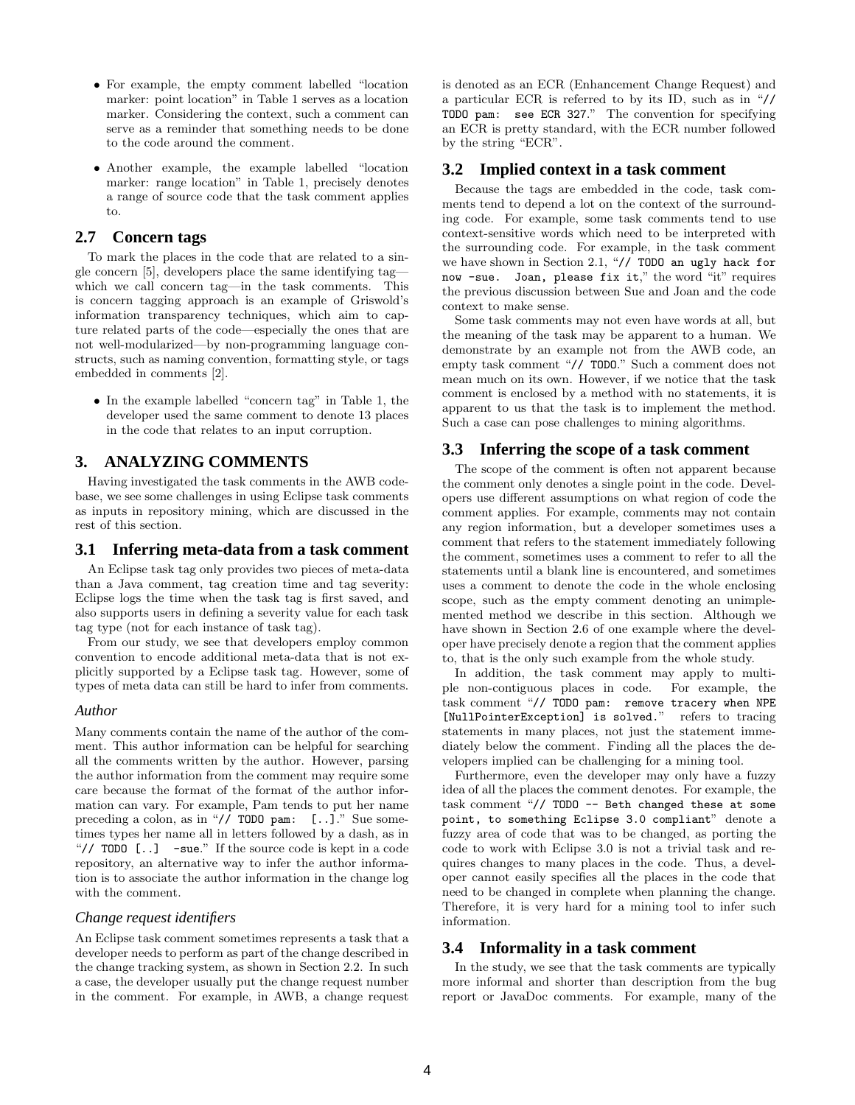- For example, the empty comment labelled "location marker: point location" in Table 1 serves as a location marker. Considering the context, such a comment can serve as a reminder that something needs to be done to the code around the comment.
- Another example, the example labelled "location marker: range location" in Table 1, precisely denotes a range of source code that the task comment applies to.

# **2.7 Concern tags**

To mark the places in the code that are related to a single concern [5], developers place the same identifying tag which we call concern tag—in the task comments. This is concern tagging approach is an example of Griswold's information transparency techniques, which aim to capture related parts of the code—especially the ones that are not well-modularized—by non-programming language constructs, such as naming convention, formatting style, or tags embedded in comments [2].

• In the example labelled "concern tag" in Table 1, the developer used the same comment to denote 13 places in the code that relates to an input corruption.

# **3. ANALYZING COMMENTS**

Having investigated the task comments in the AWB codebase, we see some challenges in using Eclipse task comments as inputs in repository mining, which are discussed in the rest of this section.

## **3.1 Inferring meta-data from a task comment**

An Eclipse task tag only provides two pieces of meta-data than a Java comment, tag creation time and tag severity: Eclipse logs the time when the task tag is first saved, and also supports users in defining a severity value for each task tag type (not for each instance of task tag).

From our study, we see that developers employ common convention to encode additional meta-data that is not explicitly supported by a Eclipse task tag. However, some of types of meta data can still be hard to infer from comments.

#### *Author*

Many comments contain the name of the author of the comment. This author information can be helpful for searching all the comments written by the author. However, parsing the author information from the comment may require some care because the format of the format of the author information can vary. For example, Pam tends to put her name preceding a colon, as in "// TODO pam: [..]." Sue sometimes types her name all in letters followed by a dash, as in "// TODO [..] -sue." If the source code is kept in a code repository, an alternative way to infer the author information is to associate the author information in the change log with the comment.

# *Change request identifiers*

An Eclipse task comment sometimes represents a task that a developer needs to perform as part of the change described in the change tracking system, as shown in Section 2.2. In such a case, the developer usually put the change request number in the comment. For example, in AWB, a change request is denoted as an ECR (Enhancement Change Request) and a particular ECR is referred to by its ID, such as in "// TODO pam: see ECR 327." The convention for specifying an ECR is pretty standard, with the ECR number followed by the string "ECR".

# **3.2 Implied context in a task comment**

Because the tags are embedded in the code, task comments tend to depend a lot on the context of the surrounding code. For example, some task comments tend to use context-sensitive words which need to be interpreted with the surrounding code. For example, in the task comment we have shown in Section 2.1, "// TODO an ugly hack for now -sue. Joan, please fix it," the word "it" requires the previous discussion between Sue and Joan and the code context to make sense.

Some task comments may not even have words at all, but the meaning of the task may be apparent to a human. We demonstrate by an example not from the AWB code, an empty task comment "// TODO." Such a comment does not mean much on its own. However, if we notice that the task comment is enclosed by a method with no statements, it is apparent to us that the task is to implement the method. Such a case can pose challenges to mining algorithms.

# **3.3 Inferring the scope of a task comment**

The scope of the comment is often not apparent because the comment only denotes a single point in the code. Developers use different assumptions on what region of code the comment applies. For example, comments may not contain any region information, but a developer sometimes uses a comment that refers to the statement immediately following the comment, sometimes uses a comment to refer to all the statements until a blank line is encountered, and sometimes uses a comment to denote the code in the whole enclosing scope, such as the empty comment denoting an unimplemented method we describe in this section. Although we have shown in Section 2.6 of one example where the developer have precisely denote a region that the comment applies to, that is the only such example from the whole study.

In addition, the task comment may apply to multiple non-contiguous places in code. For example, the task comment "// TODO pam: remove tracery when NPE [NullPointerException] is solved." refers to tracing statements in many places, not just the statement immediately below the comment. Finding all the places the developers implied can be challenging for a mining tool.

Furthermore, even the developer may only have a fuzzy idea of all the places the comment denotes. For example, the task comment "// TODO -- Beth changed these at some point, to something Eclipse 3.0 compliant" denote a fuzzy area of code that was to be changed, as porting the code to work with Eclipse 3.0 is not a trivial task and requires changes to many places in the code. Thus, a developer cannot easily specifies all the places in the code that need to be changed in complete when planning the change. Therefore, it is very hard for a mining tool to infer such information.

# **3.4 Informality in a task comment**

In the study, we see that the task comments are typically more informal and shorter than description from the bug report or JavaDoc comments. For example, many of the